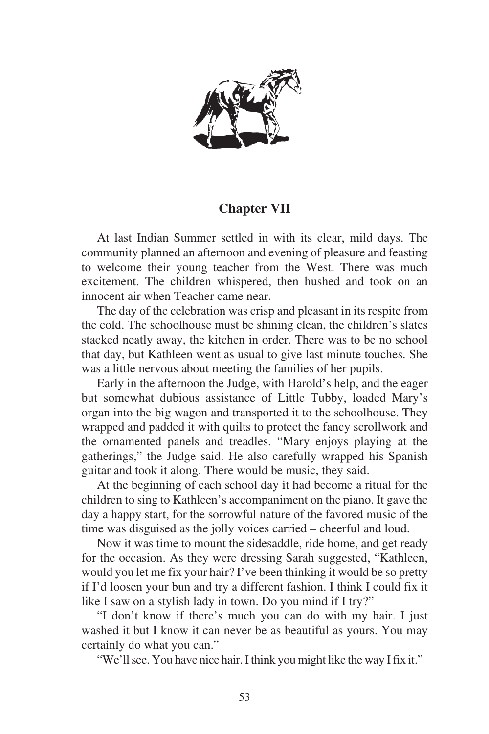

## **Chapter VII**

At last Indian Summer settled in with its clear, mild days. The community planned an afternoon and evening of pleasure and feasting to welcome their young teacher from the West. There was much excitement. The children whispered, then hushed and took on an innocent air when Teacher came near.

The day of the celebration was crisp and pleasant in its respite from the cold. The schoolhouse must be shining clean, the children's slates stacked neatly away, the kitchen in order. There was to be no school that day, but Kathleen went as usual to give last minute touches. She was a little nervous about meeting the families of her pupils.

Early in the afternoon the Judge, with Harold's help, and the eager but somewhat dubious assistance of Little Tubby, loaded Mary's organ into the big wagon and transported it to the schoolhouse. They wrapped and padded it with quilts to protect the fancy scrollwork and the ornamented panels and treadles. "Mary enjoys playing at the gatherings," the Judge said. He also carefully wrapped his Spanish guitar and took it along. There would be music, they said.

At the beginning of each school day it had become a ritual for the children to sing to Kathleen's accompaniment on the piano. It gave the day a happy start, for the sorrowful nature of the favored music of the time was disguised as the jolly voices carried – cheerful and loud.

Now it was time to mount the sidesaddle, ride home, and get ready for the occasion. As they were dressing Sarah suggested, "Kathleen, would you let me fix your hair? I've been thinking it would be so pretty if I'd loosen your bun and try a different fashion. I think I could fix it like I saw on a stylish lady in town. Do you mind if I try?"

"I don't know if there's much you can do with my hair. I just washed it but I know it can never be as beautiful as yours. You may certainly do what you can."

"We'll see. You have nice hair. I think you might like the way I fix it."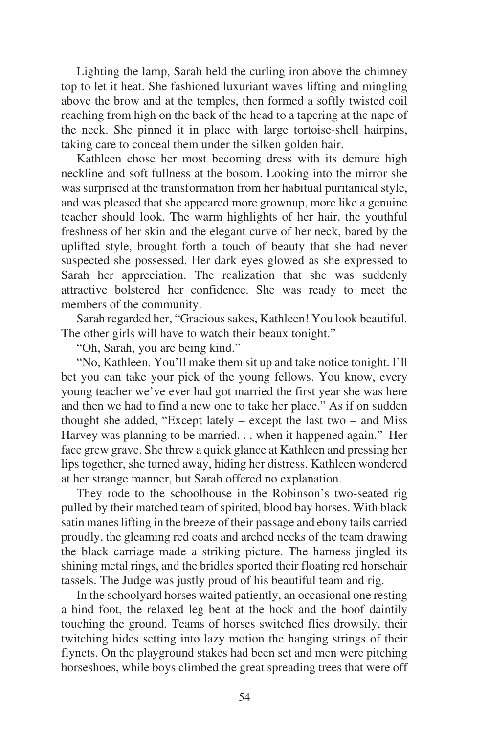Lighting the lamp, Sarah held the curling iron above the chimney top to let it heat. She fashioned luxuriant waves lifting and mingling above the brow and at the temples, then formed a softly twisted coil reaching from high on the back of the head to a tapering at the nape of the neck. She pinned it in place with large tortoise-shell hairpins, taking care to conceal them under the silken golden hair.

Kathleen chose her most becoming dress with its demure high neckline and soft fullness at the bosom. Looking into the mirror she was surprised at the transformation from her habitual puritanical style, and was pleased that she appeared more grownup, more like a genuine teacher should look. The warm highlights of her hair, the youthful freshness of her skin and the elegant curve of her neck, bared by the uplifted style, brought forth a touch of beauty that she had never suspected she possessed. Her dark eyes glowed as she expressed to Sarah her appreciation. The realization that she was suddenly attractive bolstered her confidence. She was ready to meet the members of the community.

Sarah regarded her, "Gracious sakes, Kathleen! You look beautiful. The other girls will have to watch their beaux tonight."

"Oh, Sarah, you are being kind."

"No, Kathleen. You'll make them sit up and take notice tonight. I'll bet you can take your pick of the young fellows. You know, every young teacher we've ever had got married the first year she was here and then we had to find a new one to take her place." As if on sudden thought she added, "Except lately – except the last two – and Miss Harvey was planning to be married. . . when it happened again." Her face grew grave. She threw a quick glance at Kathleen and pressing her lips together, she turned away, hiding her distress. Kathleen wondered at her strange manner, but Sarah offered no explanation.

They rode to the schoolhouse in the Robinson's two-seated rig pulled by their matched team of spirited, blood bay horses. With black satin manes lifting in the breeze of their passage and ebony tails carried proudly, the gleaming red coats and arched necks of the team drawing the black carriage made a striking picture. The harness jingled its shining metal rings, and the bridles sported their floating red horsehair tassels. The Judge was justly proud of his beautiful team and rig.

In the schoolyard horses waited patiently, an occasional one resting a hind foot, the relaxed leg bent at the hock and the hoof daintily touching the ground. Teams of horses switched flies drowsily, their twitching hides setting into lazy motion the hanging strings of their flynets. On the playground stakes had been set and men were pitching horseshoes, while boys climbed the great spreading trees that were off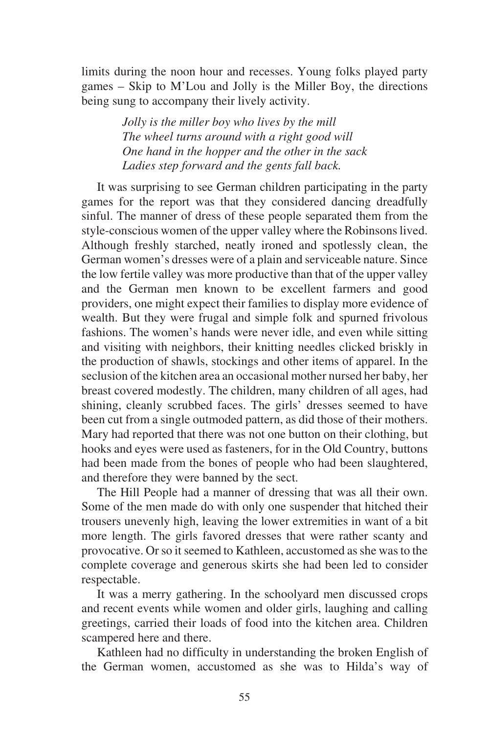limits during the noon hour and recesses. Young folks played party games – Skip to M'Lou and Jolly is the Miller Boy, the directions being sung to accompany their lively activity.

> *Jolly is the miller boy who lives by the mill The wheel turns around with a right good will One hand in the hopper and the other in the sack Ladies step forward and the gents fall back.*

It was surprising to see German children participating in the party games for the report was that they considered dancing dreadfully sinful. The manner of dress of these people separated them from the style-conscious women of the upper valley where the Robinsons lived. Although freshly starched, neatly ironed and spotlessly clean, the German women's dresses were of a plain and serviceable nature. Since the low fertile valley was more productive than that of the upper valley and the German men known to be excellent farmers and good providers, one might expect their families to display more evidence of wealth. But they were frugal and simple folk and spurned frivolous fashions. The women's hands were never idle, and even while sitting and visiting with neighbors, their knitting needles clicked briskly in the production of shawls, stockings and other items of apparel. In the seclusion of the kitchen area an occasional mother nursed her baby, her breast covered modestly. The children, many children of all ages, had shining, cleanly scrubbed faces. The girls' dresses seemed to have been cut from a single outmoded pattern, as did those of their mothers. Mary had reported that there was not one button on their clothing, but hooks and eyes were used as fasteners, for in the Old Country, buttons had been made from the bones of people who had been slaughtered, and therefore they were banned by the sect.

The Hill People had a manner of dressing that was all their own. Some of the men made do with only one suspender that hitched their trousers unevenly high, leaving the lower extremities in want of a bit more length. The girls favored dresses that were rather scanty and provocative. Or so it seemed to Kathleen, accustomed as she was to the complete coverage and generous skirts she had been led to consider respectable.

It was a merry gathering. In the schoolyard men discussed crops and recent events while women and older girls, laughing and calling greetings, carried their loads of food into the kitchen area. Children scampered here and there.

Kathleen had no difficulty in understanding the broken English of the German women, accustomed as she was to Hilda's way of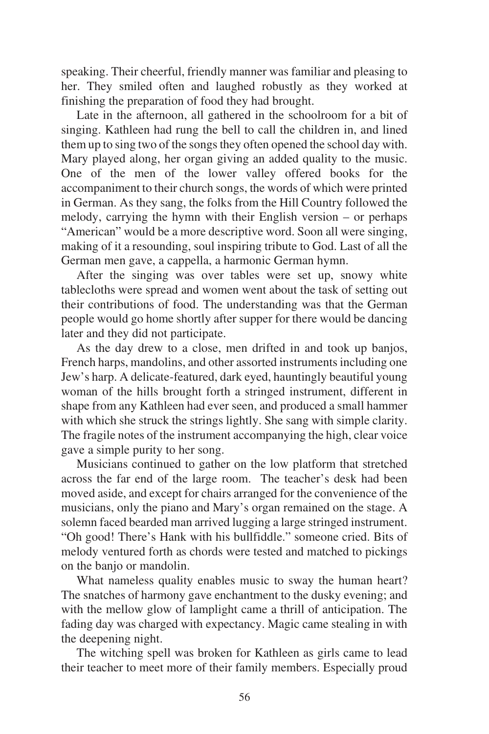speaking. Their cheerful, friendly manner was familiar and pleasing to her. They smiled often and laughed robustly as they worked at finishing the preparation of food they had brought.

Late in the afternoon, all gathered in the schoolroom for a bit of singing. Kathleen had rung the bell to call the children in, and lined them up to sing two of the songs they often opened the school day with. Mary played along, her organ giving an added quality to the music. One of the men of the lower valley offered books for the accompaniment to their church songs, the words of which were printed in German. As they sang, the folks from the Hill Country followed the melody, carrying the hymn with their English version – or perhaps "American" would be a more descriptive word. Soon all were singing, making of it a resounding, soul inspiring tribute to God. Last of all the German men gave, a cappella, a harmonic German hymn.

After the singing was over tables were set up, snowy white tablecloths were spread and women went about the task of setting out their contributions of food. The understanding was that the German people would go home shortly after supper for there would be dancing later and they did not participate.

As the day drew to a close, men drifted in and took up banjos, French harps, mandolins, and other assorted instruments including one Jew's harp. A delicate-featured, dark eyed, hauntingly beautiful young woman of the hills brought forth a stringed instrument, different in shape from any Kathleen had ever seen, and produced a small hammer with which she struck the strings lightly. She sang with simple clarity. The fragile notes of the instrument accompanying the high, clear voice gave a simple purity to her song.

Musicians continued to gather on the low platform that stretched across the far end of the large room. The teacher's desk had been moved aside, and except for chairs arranged for the convenience of the musicians, only the piano and Mary's organ remained on the stage. A solemn faced bearded man arrived lugging a large stringed instrument. "Oh good! There's Hank with his bullfiddle." someone cried. Bits of melody ventured forth as chords were tested and matched to pickings on the banjo or mandolin.

What nameless quality enables music to sway the human heart? The snatches of harmony gave enchantment to the dusky evening; and with the mellow glow of lamplight came a thrill of anticipation. The fading day was charged with expectancy. Magic came stealing in with the deepening night.

The witching spell was broken for Kathleen as girls came to lead their teacher to meet more of their family members. Especially proud